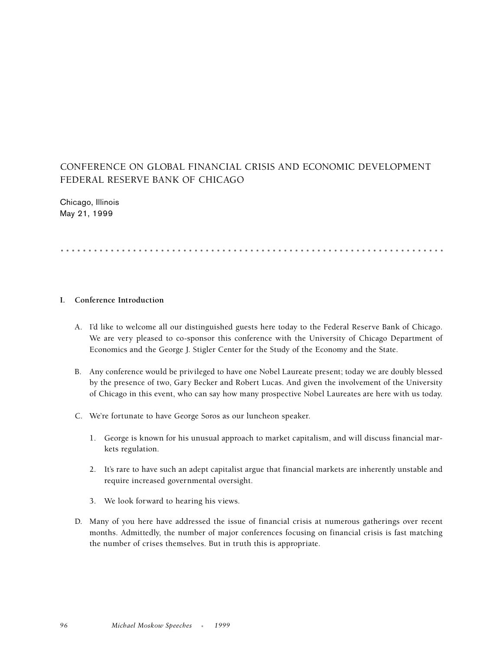## CONFERENCE ON GLOBAL FINANCIAL CRISIS AND ECONOMIC DEVELOPMENT FEDERAL RESERVE BANK OF CHICAGO

Chicago, Illinois May 21, 1999

## .....................................................................

## **I. Conference Introduction**

- A. I'd like to welcome all our distinguished guests here today to the Federal Reserve Bank of Chicago. We are very pleased to co-sponsor this conference with the University of Chicago Department of Economics and the George J. Stigler Center for the Study of the Economy and the State.
- B. Any conference would be privileged to have one Nobel Laureate present; today we are doubly blessed by the presence of two, Gary Becker and Robert Lucas. And given the involvement of the University of Chicago in this event, who can say how many prospective Nobel Laureates are here with us today.
- C. We're fortunate to have George Soros as our luncheon speaker.
	- 1. George is known for his unusual approach to market capitalism, and will discuss financial markets regulation.
	- 2. It's rare to have such an adept capitalist argue that financial markets are inherently unstable and require increased governmental oversight.
	- 3. We look forward to hearing his views.
- D. Many of you here have addressed the issue of financial crisis at numerous gatherings over recent months. Admittedly, the number of major conferences focusing on financial crisis is fast matching the number of crises themselves. But in truth this is appropriate.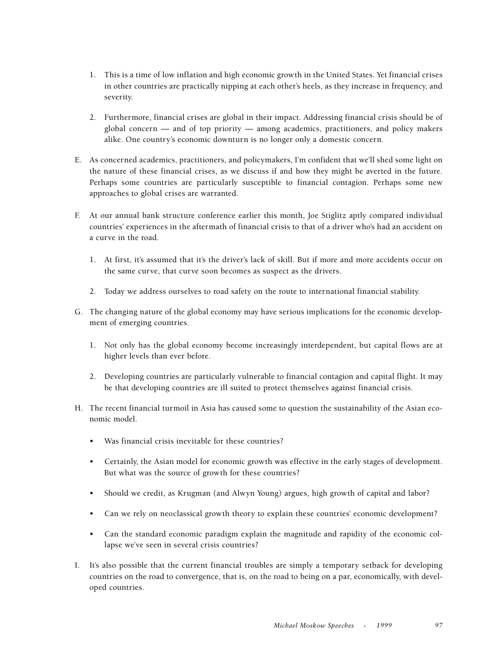- 1. This is a time of low inflation and high economic growth in the United States. Yet financial crises in other countries are practically nipping at each other's heels, as they increase in frequency, and severity.
- 2. Furthermore, financial crises are global in their impact. Addressing financial crisis should be of global concern — and of top priority — among academics, practitioners, and policy makers alike. One country's economic downturn is no longer only a domestic concern.
- E. As concerned academics, practitioners, and policymakers, I'm confident that we'll shed some light on the nature of these financial crises, as we discuss if and how they might be averted in the future. Perhaps some countries are particularly susceptible to financial contagion. Perhaps some new approaches to global crises are warranted.
- F. At our annual bank structure conference earlier this month, Joe Stiglitz aptly compared individual countries' experiences in the aftermath of financial crisis to that of a driver who's had an accident on a curve in the road.
	- 1. At first, it's assumed that it's the driver's lack of skill. But if more and more accidents occur on the same curve, that curve soon becomes as suspect as the drivers.
	- 2. Today we address ourselves to road safety on the route to international financial stability.
- G. The changing nature of the global economy may have serious implications for the economic development of emerging countries.
	- 1. Not only has the global economy become increasingly interdependent, but capital flows are at higher levels than ever before.
	- 2. Developing countries are particularly vulnerable to financial contagion and capital flight. It may be that developing countries are ill suited to protect themselves against financial crisis.
- H. The recent financial turmoil in Asia has caused some to question the sustainability of the Asian economic model.
	- Was financial crisis inevitable for these countries?
	- Certainly, the Asian model for economic growth was effective in the early stages of development. But what was the source of growth for these countries?
	- Should we credit, as Krugman (and Alwyn Young) argues, high growth of capital and labor?
	- Can we rely on neoclassical growth theory to explain these countries' economic development?
	- Can the standard economic paradigm explain the magnitude and rapidity of the economic collapse we've seen in several crisis countries?
- I. It's also possible that the current financial troubles are simply a temporary setback for developing countries on the road to convergence, that is, on the road to being on a par, economically, with developed countries.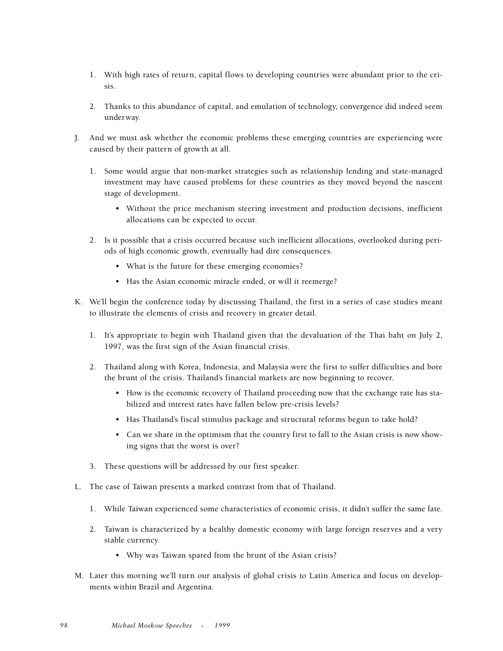- 1. With high rates of return, capital flows to developing countries were abundant prior to the crisis.
- 2. Thanks to this abundance of capital, and emulation of technology, convergence did indeed seem underway.
- J. And we must ask whether the economic problems these emerging countries are experiencing were caused by their pattern of growth at all.
	- 1. Some would argue that non-market strategies such as relationship lending and state-managed investment may have caused problems for these countries as they moved beyond the nascent stage of development.
		- Without the price mechanism steering investment and production decisions, inefficient allocations can be expected to occur.
	- 2. Is it possible that a crisis occurred because such inefficient allocations, overlooked during periods of high economic growth, eventually had dire consequences.
		- What is the future for these emerging economies?
		- Has the Asian economic miracle ended, or will it reemerge?
- K. We'll begin the conference today by discussing Thailand, the first in a series of case studies meant to illustrate the elements of crisis and recovery in greater detail.
	- 1. It's appropriate to begin with Thailand given that the devaluation of the Thai baht on July 2, 1997, was the first sign of the Asian financial crisis.
	- 2. Thailand along with Korea, Indonesia, and Malaysia were the first to suffer difficulties and bore the brunt of the crisis. Thailand's financial markets are now beginning to recover.
		- How is the economic recovery of Thailand proceeding now that the exchange rate has stabilized and interest rates have fallen below pre-crisis levels?
		- Has Thailand's fiscal stimulus package and structural reforms begun to take hold?
		- Can we share in the optimism that the country first to fall to the Asian crisis is now showing signs that the worst is over?
	- 3. These questions will be addressed by our first speaker.
- L. The case of Taiwan presents a marked contrast from that of Thailand.
	- 1. While Taiwan experienced some characteristics of economic crisis, it didn't suffer the same fate.
	- 2. Taiwan is characterized by a healthy domestic economy with large foreign reserves and a very stable currency.
		- Why was Taiwan spared from the brunt of the Asian crisis?
- M. Later this morning we'll turn our analysis of global crisis to Latin America and focus on developments within Brazil and Argentina.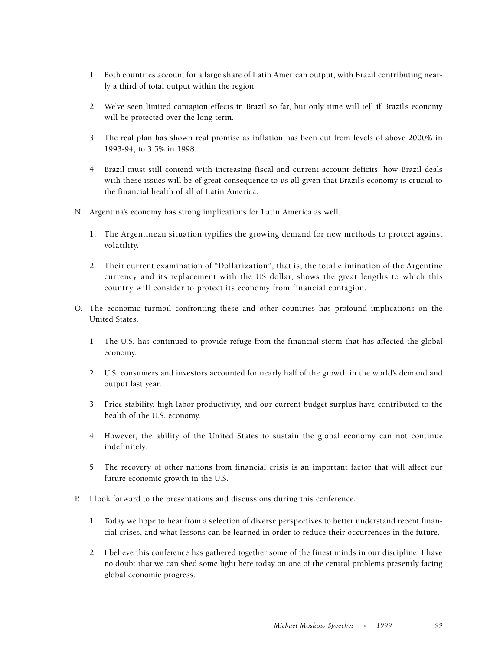- 1. Both countries account for a large share of Latin American output, with Brazil contributing nearly a third of total output within the region.
- 2. We've seen limited contagion effects in Brazil so far, but only time will tell if Brazil's economy will be protected over the long term.
- 3. The real plan has shown real promise as inflation has been cut from levels of above 2000% in 1993-94, to 3.5% in 1998.
- 4. Brazil must still contend with increasing fiscal and current account deficits; how Brazil deals with these issues will be of great consequence to us all given that Brazil's economy is crucial to the financial health of all of Latin America.
- N. Argentina's economy has strong implications for Latin America as well.
	- 1. The Argentinean situation typifies the growing demand for new methods to protect against volatility.
	- 2. Their current examination of "Dollarization", that is, the total elimination of the Argentine currency and its replacement with the US dollar, shows the great lengths to which this country will consider to protect its economy from financial contagion.
- O. The economic turmoil confronting these and other countries has profound implications on the United States.
	- 1. The U.S. has continued to provide refuge from the financial storm that has affected the global economy.
	- 2. U.S. consumers and investors accounted for nearly half of the growth in the world's demand and output last year.
	- 3. Price stability, high labor productivity, and our current budget surplus have contributed to the health of the U.S. economy.
	- 4. However, the ability of the United States to sustain the global economy can not continue indefinitely.
	- 5. The recovery of other nations from financial crisis is an important factor that will affect our future economic growth in the U.S.
- P. I look forward to the presentations and discussions during this conference.
	- 1. Today we hope to hear from a selection of diverse perspectives to better understand recent financial crises, and what lessons can be learned in order to reduce their occurrences in the future.
	- 2. I believe this conference has gathered together some of the finest minds in our discipline; I have no doubt that we can shed some light here today on one of the central problems presently facing global economic progress.